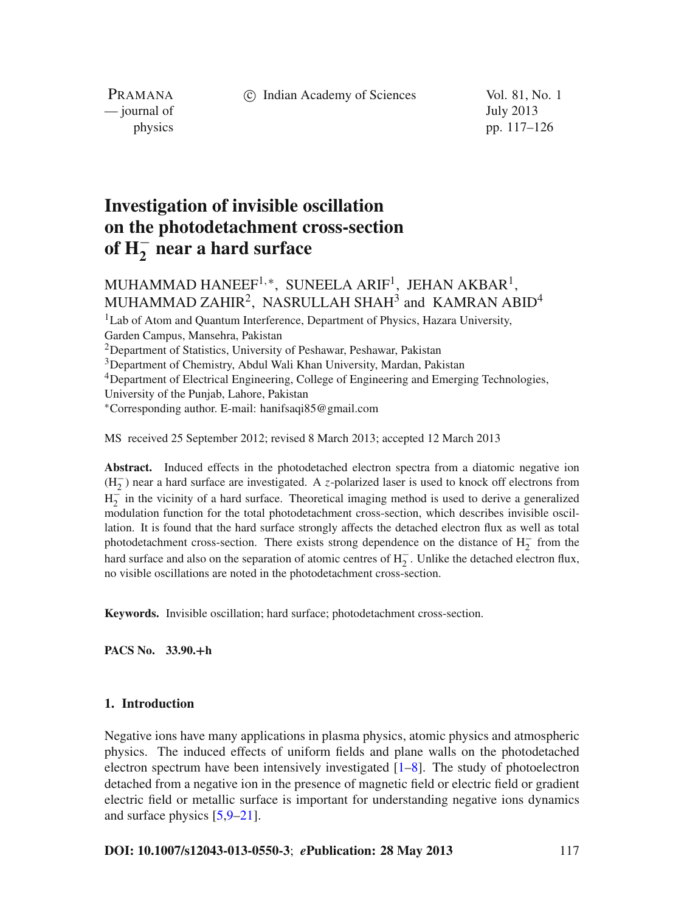c Indian Academy of Sciences Vol. 81, No. 1

PRAMANA — journal of July 2013

physics pp. 117–126

# **Investigation of invisible oscillation on the photodetachment cross-section of H**<sup>−</sup> **<sup>2</sup> near a hard surface**

## MUHAMMAD HANEEF<sup>1,\*</sup>, SUNEELA ARIF<sup>1</sup>, JEHAN AKBAR<sup>1</sup>, MUHAMMAD ZAHIR<sup>2</sup>, NASRULLAH SHAH<sup>3</sup> and KAMRAN ABID<sup>4</sup>

<sup>1</sup>Lab of Atom and Quantum Interference, Department of Physics, Hazara University, Garden Campus, Mansehra, Pakistan 2Department of Statistics, University of Peshawar, Peshawar, Pakistan <sup>3</sup>Department of Chemistry, Abdul Wali Khan University, Mardan, Pakistan 4Department of Electrical Engineering, College of Engineering and Emerging Technologies, University of the Punjab, Lahore, Pakistan <sup>∗</sup>Corresponding author. E-mail: hanifsaqi85@gmail.com

MS received 25 September 2012; revised 8 March 2013; accepted 12 March 2013

Abstract. Induced effects in the photodetached electron spectra from a diatomic negative ion (H<sup>−</sup> <sup>2</sup> ) near a hard surface are investigated. A *z*-polarized laser is used to knock off electrons from  $H_2^-$  in the vicinity of a hard surface. Theoretical imaging method is used to derive a generalized modulation function for the total photodetachment cross-section, which describes invisible oscillation. It is found that the hard surface strongly affects the detached electron flux as well as total photodetachment cross-section. There exists strong dependence on the distance of  $H_2^-$  from the hard surface and also on the separation of atomic centres of  $H_2^-$ . Unlike the detached electron flux, no visible oscillations are noted in the photodetachment cross-section.

**Keywords.** Invisible oscillation; hard surface; photodetachment cross-section.

**PACS No. 33.90.+h**

#### **1. Introduction**

Negative ions have many applications in plasma physics, atomic physics and atmospheric physics. The induced effects of uniform fields and plane walls on the photodetached electron spectrum have been intensively investigated [\[1](#page-8-0)[–8\]](#page-8-1). The study of photoelectron detached from a negative ion in the presence of magnetic field or electric field or gradient electric field or metallic surface is important for understanding negative ions dynamics and surface physics [\[5](#page-8-2)[,9](#page-8-3)[–21](#page-8-4)].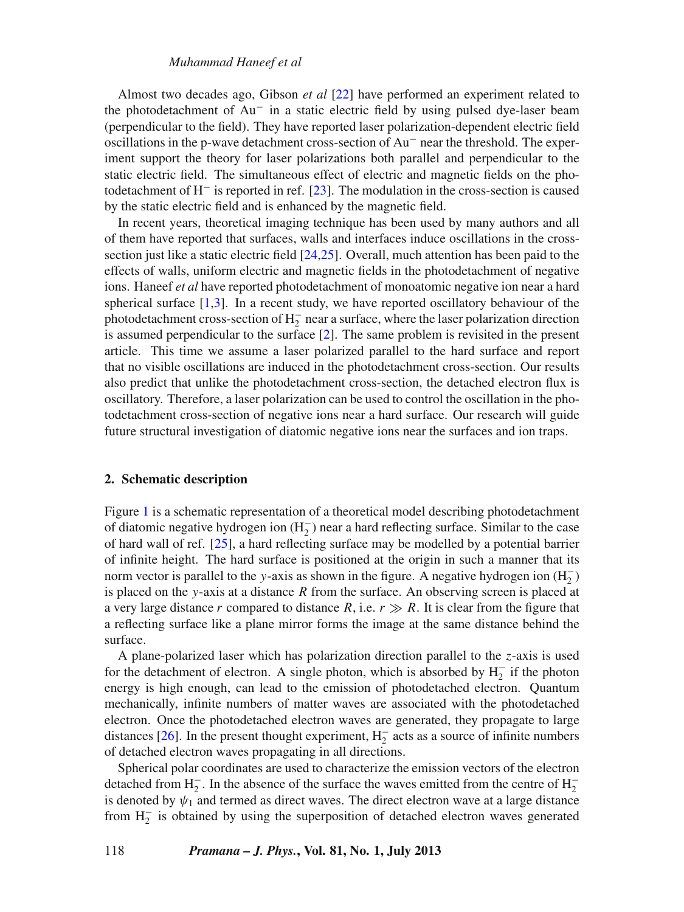#### *Muhammad Haneef et al*

Almost two decades ago, Gibson *et al* [\[22\]](#page-8-5) have performed an experiment related to the photodetachment of Au<sup>−</sup> in a static electric field by using pulsed dye-laser beam (perpendicular to the field). They have reported laser polarization-dependent electric field oscillations in the p-wave detachment cross-section of Au<sup>−</sup> near the threshold. The experiment support the theory for laser polarizations both parallel and perpendicular to the static electric field. The simultaneous effect of electric and magnetic fields on the photodetachment of H<sup>−</sup> is reported in ref. [\[23\]](#page-8-6). The modulation in the cross-section is caused by the static electric field and is enhanced by the magnetic field.

In recent years, theoretical imaging technique has been used by many authors and all of them have reported that surfaces, walls and interfaces induce oscillations in the crosssection just like a static electric field [\[24](#page-8-7)[,25](#page-8-8)]. Overall, much attention has been paid to the effects of walls, uniform electric and magnetic fields in the photodetachment of negative ions. Haneef *et al* have reported photodetachment of monoatomic negative ion near a hard spherical surface [\[1](#page-8-0)[,3\]](#page-8-9). In a recent study, we have reported oscillatory behaviour of the photodetachment cross-section of  $H_2^-$  near a surface, where the laser polarization direction is assumed perpendicular to the surface [\[2](#page-8-10)]. The same problem is revisited in the present article. This time we assume a laser polarized parallel to the hard surface and report that no visible oscillations are induced in the photodetachment cross-section. Our results also predict that unlike the photodetachment cross-section, the detached electron flux is oscillatory. Therefore, a laser polarization can be used to control the oscillation in the photodetachment cross-section of negative ions near a hard surface. Our research will guide future structural investigation of diatomic negative ions near the surfaces and ion traps.

#### **2. Schematic description**

Figure [1](#page-2-0) is a schematic representation of a theoretical model describing photodetachment of diatomic negative hydrogen ion  $(H_2^-)$  near a hard reflecting surface. Similar to the case of hard wall of ref. [\[25\]](#page-8-8), a hard reflecting surface may be modelled by a potential barrier of infinite height. The hard surface is positioned at the origin in such a manner that its norm vector is parallel to the *y*-axis as shown in the figure. A negative hydrogen ion (H<sub>2</sub>) is placed on the *y*-axis at a distance *R* from the surface. An observing screen is placed at a very large distance r compared to distance R, i.e.  $r \gg R$ . It is clear from the figure that a reflecting surface like a plane mirror forms the image at the same distance behind the surface.

A plane-polarized laser which has polarization direction parallel to the *z*-axis is used for the detachment of electron. A single photon, which is absorbed by  $H_2^-$  if the photon energy is high enough, can lead to the emission of photodetached electron. Quantum mechanically, infinite numbers of matter waves are associated with the photodetached electron. Once the photodetached electron waves are generated, they propagate to large distances [\[26](#page-8-11)]. In the present thought experiment,  $H_2^-$  acts as a source of infinite numbers of detached electron waves propagating in all directions.

Spherical polar coordinates are used to characterize the emission vectors of the electron detached from H<sub>2</sub><sup>-</sup>. In the absence of the surface the waves emitted from the centre of H<sub>2</sub><sup>-</sup> is denoted by  $\psi_1$  and termed as direct waves. The direct electron wave at a large distance from H<sup>−</sup> <sup>2</sup> is obtained by using the superposition of detached electron waves generated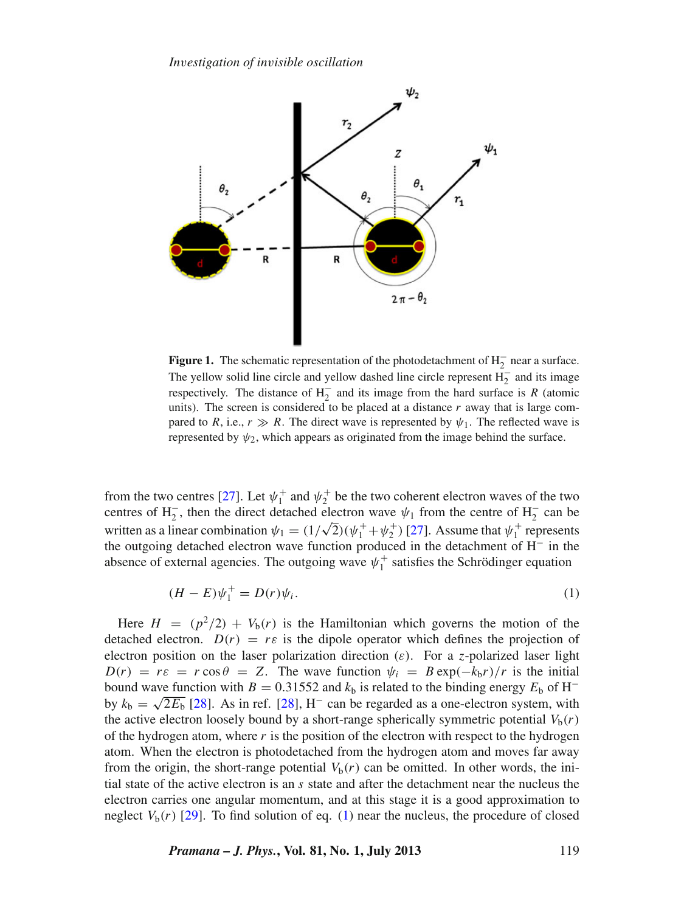*In*v*estigation of in*v*isible oscillation*

<span id="page-2-0"></span>

**Figure 1.** The schematic representation of the photodetachment of  $H_2^-$  near a surface. The yellow solid line circle and yellow dashed line circle represent  $\overline{H_2}$  and its image respectively. The distance of  $H_2^-$  and its image from the hard surface is *R* (atomic units). The screen is considered to be placed at a distance  $r$  away that is large compared to *R*, i.e.,  $r \gg R$ . The direct wave is represented by  $\psi_1$ . The reflected wave is represented by  $\psi_2$ , which appears as originated from the image behind the surface.

from the two centres [\[27\]](#page-9-0). Let  $\psi_1^+$  and  $\psi_2^+$  be the two coherent electron waves of the two centres of H<sub>2</sub><sup>-</sup>, then the direct detached electron wave  $\psi_1$  from the centre of H<sub>2</sub><sup>-</sup> can be written as a linear combination  $\psi_1 = (1/\sqrt{2})(\psi_1^+ + \psi_2^+)$  [\[27](#page-9-0)]. Assume that  $\psi_1^+$  represents the outgoing detached electron wave function produced in the detachment of H<sup>−</sup> in the absence of external agencies. The outgoing wave  $\psi_1^+$  satisfies the Schrödinger equation

<span id="page-2-1"></span>
$$
(H - E)\psi_1^+ = D(r)\psi_i.
$$
 (1)

Here  $H = (p^2/2) + V_b(r)$  is the Hamiltonian which governs the motion of the detached electron.  $D(r) = r\varepsilon$  is the dipole operator which defines the projection of electron position on the laser polarization direction  $(\varepsilon)$ . For a *z*-polarized laser light  $D(r) = r\varepsilon = r \cos \theta = Z$ . The wave function  $\psi_i = B \exp(-k_b r)/r$  is the initial bound wave function with *B* = 0.31552 and  $k<sub>b</sub>$  is related to the binding energy  $E<sub>b</sub>$  of H<sup>-</sup> by  $k_b = \sqrt{2E_b}$  [\[28](#page-9-1)]. As in ref. [\[28\]](#page-9-1), H<sup>-</sup> can be regarded as a one-electron system, with the active electron loosely bound by a short-range spherically symmetric potential  $V_b(r)$ of the hydrogen atom, where *r* is the position of the electron with respect to the hydrogen atom. When the electron is photodetached from the hydrogen atom and moves far away from the origin, the short-range potential  $V_b(r)$  can be omitted. In other words, the initial state of the active electron is an *s* state and after the detachment near the nucleus the electron carries one angular momentum, and at this stage it is a good approximation to neglect  $V<sub>b</sub>(r)$  [\[29\]](#page-9-2). To find solution of eq. [\(1\)](#page-2-1) near the nucleus, the procedure of closed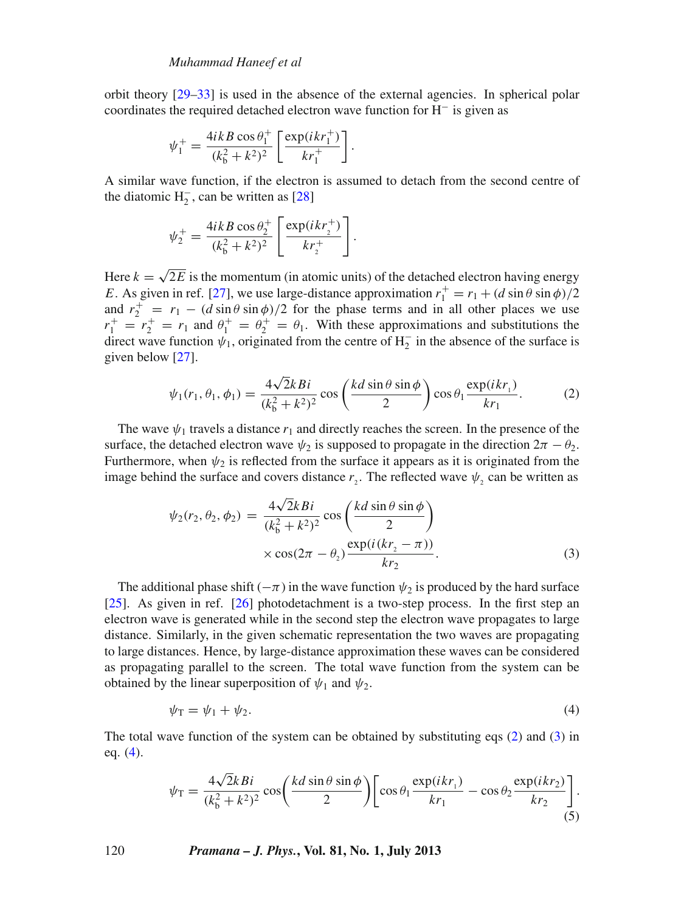orbit theory [\[29](#page-9-2)[–33](#page-9-3)] is used in the absence of the external agencies. In spherical polar coordinates the required detached electron wave function for  $H^-$  is given as

$$
\psi_1^+ = \frac{4ikB\cos\theta_1^+}{(k_b^2 + k^2)^2} \left[ \frac{\exp(ikr_1^+)}{kr_1^+} \right].
$$

A similar wave function, if the electron is assumed to detach from the second centre of the diatomic  $H_2^-$ , can be written as [\[28](#page-9-1)]

.

$$
\psi_2^+ = \frac{4ikB\cos\theta_2^+}{(k_b^2 + k^2)^2} \left[ \frac{\exp(ikr_2^+)}{kr_2^+} \right]
$$

Here  $k = \sqrt{2E}$  is the momentum (in atomic units) of the detached electron having energy *E*. As given in ref. [\[27\]](#page-9-0), we use large-distance approximation  $r_1^+ = r_1 + (d \sin \theta \sin \phi)/2$ and  $r_2^+ = r_1 - (d \sin \theta \sin \phi)/2$  for the phase terms and in all other places we use  $r_1^+ = r_2^+ = r_1$  and  $\theta_1^+ = \theta_2^+ = \theta_1$ . With these approximations and substitutions the direct wave function  $\psi_1$ , originated from the centre of H<sub>2</sub> in the absence of the surface is given below [\[27](#page-9-0)].

<span id="page-3-0"></span>
$$
\psi_1(r_1, \theta_1, \phi_1) = \frac{4\sqrt{2}kBi}{(k_b^2 + k^2)^2} \cos\left(\frac{kd\sin\theta\sin\phi}{2}\right) \cos\theta_1 \frac{\exp(ikr_1)}{kr_1}.
$$
 (2)

The wave  $\psi_1$  travels a distance  $r_1$  and directly reaches the screen. In the presence of the surface, the detached electron wave  $\psi_2$  is supposed to propagate in the direction  $2\pi - \theta_2$ . Furthermore, when  $\psi_2$  is reflected from the surface it appears as it is originated from the image behind the surface and covers distance  $r_2$ . The reflected wave  $\psi_2$  can be written as

<span id="page-3-1"></span>
$$
\psi_2(r_2, \theta_2, \phi_2) = \frac{4\sqrt{2}kBi}{(k_b^2 + k^2)^2} \cos\left(\frac{kd\sin\theta\sin\phi}{2}\right)
$$

$$
\times \cos(2\pi - \theta_2) \frac{\exp(i(kr_2 - \pi))}{kr_2}.
$$
(3)

The additional phase shift ( $-\pi$ ) in the wave function  $\psi_2$  is produced by the hard surface [\[25](#page-8-8)]. As given in ref. [\[26\]](#page-8-11) photodetachment is a two-step process. In the first step an electron wave is generated while in the second step the electron wave propagates to large distance. Similarly, in the given schematic representation the two waves are propagating to large distances. Hence, by large-distance approximation these waves can be considered as propagating parallel to the screen. The total wave function from the system can be obtained by the linear superposition of  $\psi_1$  and  $\psi_2$ .

<span id="page-3-2"></span>
$$
\psi_{\rm T} = \psi_1 + \psi_2. \tag{4}
$$

The total wave function of the system can be obtained by substituting eqs [\(2\)](#page-3-0) and [\(3\)](#page-3-1) in eq. [\(4\)](#page-3-2).

<span id="page-3-3"></span>
$$
\psi_{\rm T} = \frac{4\sqrt{2}kBi}{(k_b^2 + k^2)^2} \cos\left(\frac{kd\sin\theta\sin\phi}{2}\right) \left[\cos\theta_1 \frac{\exp(ikr_1)}{kr_1} - \cos\theta_2 \frac{\exp(ikr_2)}{kr_2}\right].
$$
\n(5)

120 *Pramana – J. Phys.***, Vol. 81, No. 1, July 2013**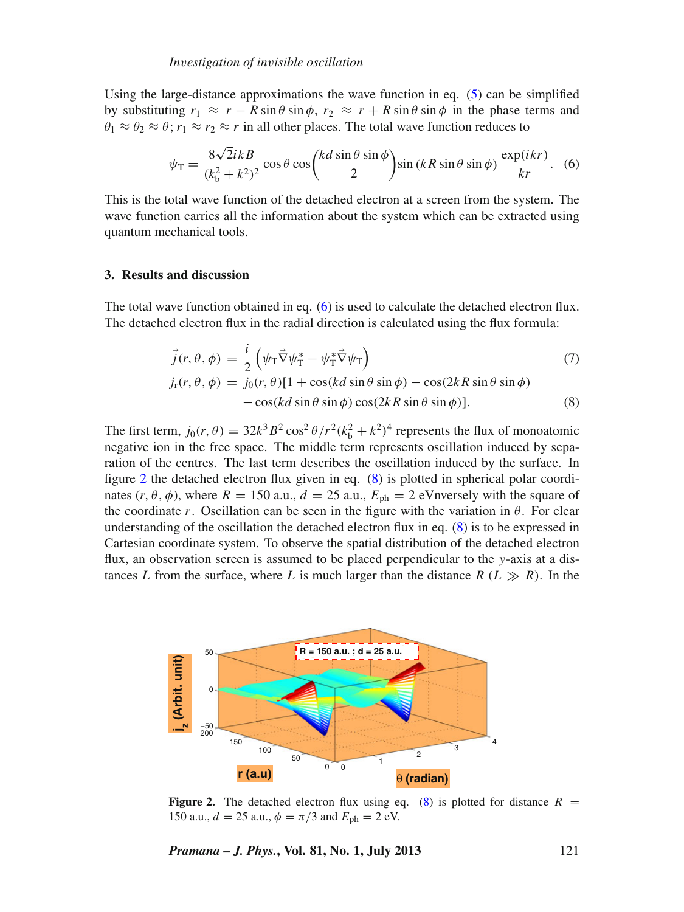Using the large-distance approximations the wave function in eq.  $(5)$  can be simplified by substituting  $r_1 \approx r - R \sin \theta \sin \phi$ ,  $r_2 \approx r + R \sin \theta \sin \phi$  in the phase terms and  $\theta_1 \approx \theta_2 \approx \theta$ ;  $r_1 \approx r_2 \approx r$  in all other places. The total wave function reduces to

<span id="page-4-0"></span>
$$
\psi_{\rm T} = \frac{8\sqrt{2}ikB}{(k_b^2 + k^2)^2} \cos\theta \cos\left(\frac{kd\sin\theta\sin\phi}{2}\right) \sin\left(kR\sin\theta\sin\phi\right) \frac{\exp(ikr)}{kr}.
$$
 (6)

This is the total wave function of the detached electron at a screen from the system. The wave function carries all the information about the system which can be extracted using quantum mechanical tools.

#### **3. Results and discussion**

The total wave function obtained in eq. [\(6\)](#page-4-0) is used to calculate the detached electron flux. The detached electron flux in the radial direction is calculated using the flux formula:

<span id="page-4-2"></span>
$$
\vec{j}(r,\theta,\phi) = \frac{i}{2} \left( \psi_{\rm T} \vec{\nabla} \psi_{\rm T}^* - \psi_{\rm T}^* \vec{\nabla} \psi_{\rm T} \right)
$$
(7)

$$
j_{\rm r}(r,\theta,\phi) = j_0(r,\theta)[1 + \cos(kd\sin\theta\sin\phi) - \cos(2kR\sin\theta\sin\phi) - \cos(kd\sin\theta\sin\phi)\cos(2kR\sin\theta\sin\phi)].
$$
\n(8)

The first term,  $j_0(r, \theta) = 32k^3B^2 \cos^2 \theta / r^2 (k_b^2 + k^2)^4$  represents the flux of monoatomic negative ion in the free space. The middle term represents oscillation induced by separation of the centres. The last term describes the oscillation induced by the surface. In figure [2](#page-4-1) the detached electron flux given in eq. [\(8\)](#page-4-2) is plotted in spherical polar coordinates  $(r, \theta, \phi)$ , where  $R = 150$  a.u.,  $d = 25$  a.u.,  $E_{ph} = 2$  eVnversely with the square of the coordinate *r*. Oscillation can be seen in the figure with the variation in  $\theta$ . For clear understanding of the oscillation the detached electron flux in eq. [\(8\)](#page-4-2) is to be expressed in Cartesian coordinate system. To observe the spatial distribution of the detached electron flux, an observation screen is assumed to be placed perpendicular to the *y*-axis at a distances *L* from the surface, where *L* is much larger than the distance  $R(L \gg R)$ . In the

<span id="page-4-1"></span>

**Figure 2.** The detached electron flux using eq. [\(8\)](#page-4-2) is plotted for distance  $R =$ 150 a.u.,  $d = 25$  a.u.,  $\phi = \pi/3$  and  $E_{\text{ph}} = 2$  eV.

*Pramana – J. Phys.***, Vol. 81, No. 1, July 2013** 121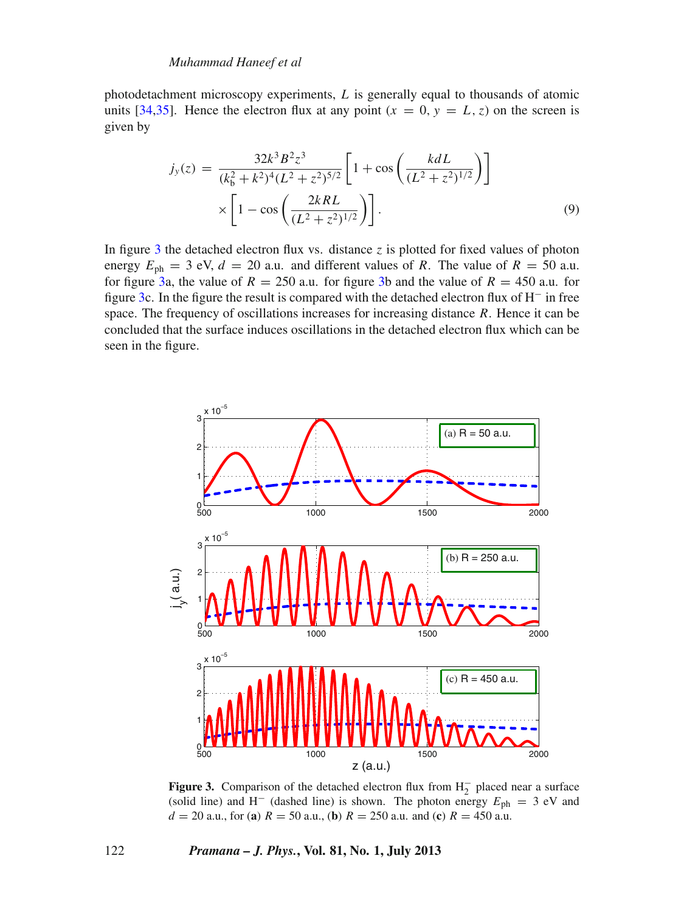#### *Muhammad Haneef et al*

photodetachment microscopy experiments, *L* is generally equal to thousands of atomic units [\[34](#page-9-4)[,35](#page-9-5)]. Hence the electron flux at any point  $(x = 0, y = L, z)$  on the screen is given by

$$
j_{y}(z) = \frac{32k^{3} B^{2} z^{3}}{(k_{b}^{2} + k^{2})^{4} (L^{2} + z^{2})^{5/2}} \left[1 + \cos\left(\frac{k d L}{(L^{2} + z^{2})^{1/2}}\right)\right]
$$

$$
\times \left[1 - \cos\left(\frac{2k R L}{(L^{2} + z^{2})^{1/2}}\right)\right].
$$
(9)

In figure [3](#page-5-0) the detached electron flux vs. distance  $z$  is plotted for fixed values of photon energy  $E_{\text{ph}} = 3$  eV,  $d = 20$  a.u. and different values of *R*. The value of  $R = 50$  a.u. for figure [3a](#page-5-0), the value of  $R = 250$  a.u. for figure [3b](#page-5-0) and the value of  $R = 450$  a.u. for figure [3c](#page-5-0). In the figure the result is compared with the detached electron flux of H<sup>−</sup> in free space. The frequency of oscillations increases for increasing distance *R*. Hence it can be concluded that the surface induces oscillations in the detached electron flux which can be seen in the figure.

<span id="page-5-0"></span>

**Figure 3.** Comparison of the detached electron flux from  $H_2^-$  placed near a surface (solid line) and H<sup>-</sup> (dashed line) is shown. The photon energy  $E_{\text{ph}} = 3$  eV and  $d = 20$  a.u., for (**a**)  $R = 50$  a.u., (**b**)  $R = 250$  a.u. and (**c**)  $R = 450$  a.u.

#### 122 *Pramana – J. Phys.***, Vol. 81, No. 1, July 2013**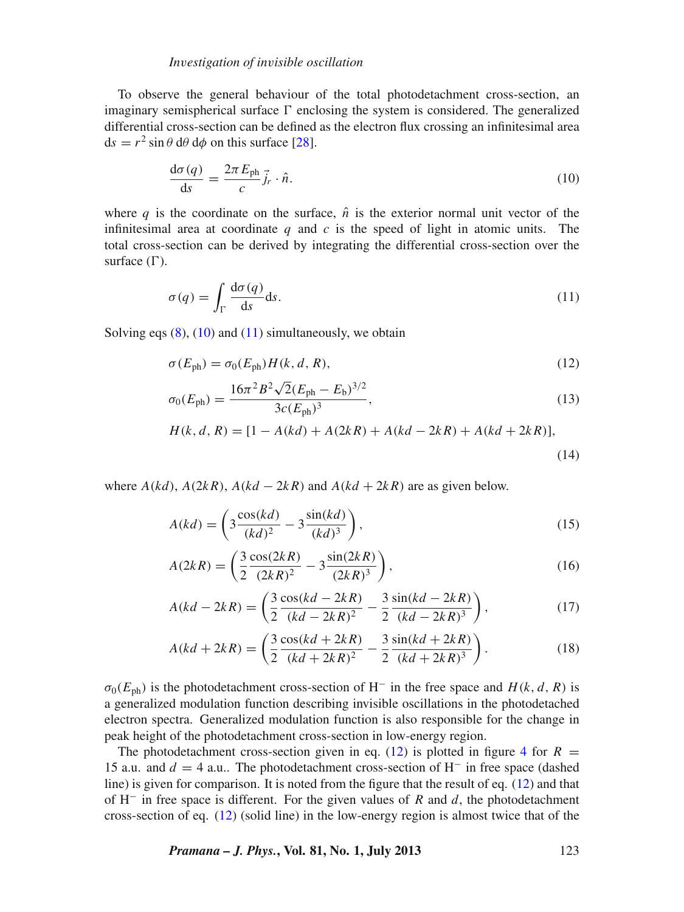#### *In*v*estigation of in*v*isible oscillation*

To observe the general behaviour of the total photodetachment cross-section, an imaginary semispherical surface  $\Gamma$  enclosing the system is considered. The generalized differential cross-section can be defined as the electron flux crossing an infinitesimal area  $ds = r^2 \sin \theta \, d\theta \, d\phi$  on this surface [\[28\]](#page-9-1).

<span id="page-6-0"></span>
$$
\frac{\mathrm{d}\sigma(q)}{\mathrm{d}s} = \frac{2\pi E_{\text{ph}}}{c} \vec{j}_r \cdot \hat{n}.\tag{10}
$$

where *q* is the coordinate on the surface,  $\hat{n}$  is the exterior normal unit vector of the infinitesimal area at coordinate *q* and *c* is the speed of light in atomic units. The total cross-section can be derived by integrating the differential cross-section over the surface  $(\Gamma)$ .

<span id="page-6-1"></span>
$$
\sigma(q) = \int_{\Gamma} \frac{d\sigma(q)}{ds} ds.
$$
 (11)

Solving eqs  $(8)$ ,  $(10)$  and  $(11)$  simultaneously, we obtain

<span id="page-6-2"></span>
$$
\sigma(E_{\text{ph}}) = \sigma_0(E_{\text{ph}}) H(k, d, R),\tag{12}
$$

$$
\sigma_0(E_{\text{ph}}) = \frac{16\pi^2 B^2 \sqrt{2}(E_{\text{ph}} - E_{\text{b}})^{3/2}}{3c(E_{\text{ph}})^3},\tag{13}
$$

$$
H(k, d, R) = [1 - A(kd) + A(2kR) + A(kd - 2kR) + A(kd + 2kR)],
$$
\n(14)

where  $A(kd)$ ,  $A(2kR)$ ,  $A(kd - 2kR)$  and  $A(kd + 2kR)$  are as given below.

$$
A(kd) = \left(3 \frac{\cos(kd)}{(kd)^2} - 3 \frac{\sin(kd)}{(kd)^3}\right),\tag{15}
$$

$$
A(2kR) = \left(\frac{3}{2}\frac{\cos(2kR)}{(2kR)^2} - 3\frac{\sin(2kR)}{(2kR)^3}\right),\tag{16}
$$

$$
A(kd - 2kR) = \left(\frac{3}{2}\frac{\cos(kd - 2kR)}{(kd - 2kR)^2} - \frac{3}{2}\frac{\sin(kd - 2kR)}{(kd - 2kR)^3}\right),\tag{17}
$$

$$
A(kd + 2kR) = \left(\frac{3}{2}\frac{\cos(kd + 2kR)}{(kd + 2kR)^2} - \frac{3}{2}\frac{\sin(kd + 2kR)}{(kd + 2kR)^3}\right).
$$
 (18)

 $\sigma_0(E_{\text{ph}})$  is the photodetachment cross-section of H<sup>-</sup> in the free space and  $H(k, d, R)$  is a generalized modulation function describing invisible oscillations in the photodetached electron spectra. Generalized modulation function is also responsible for the change in peak height of the photodetachment cross-section in low-energy region.

The photodetachment cross-section given in eq. [\(12\)](#page-6-2) is plotted in figure [4](#page-7-0) for  $R =$ 15 a.u. and *d* = 4 a.u.. The photodetachment cross-section of H<sup>−</sup> in free space (dashed line) is given for comparison. It is noted from the figure that the result of eq. [\(12\)](#page-6-2) and that of H<sup>−</sup> in free space is different. For the given values of *R* and *d*, the photodetachment cross-section of eq. [\(12\)](#page-6-2) (solid line) in the low-energy region is almost twice that of the

*Pramana – J. Phys.***, Vol. 81, No. 1, July 2013** 123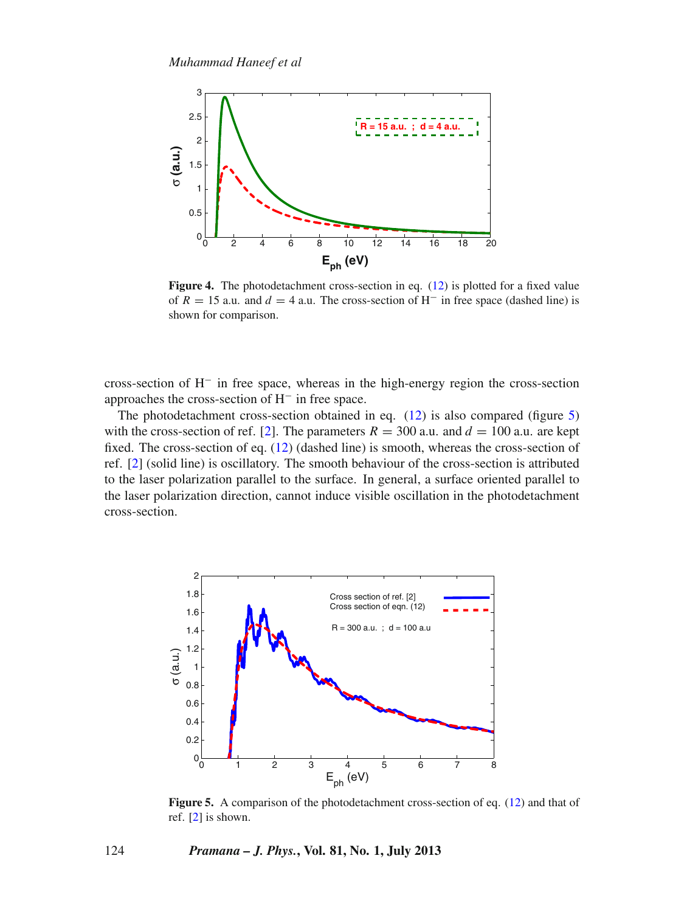<span id="page-7-0"></span>

**Figure 4.** The photodetachment cross-section in eq. [\(12\)](#page-6-2) is plotted for a fixed value of  $R = 15$  a.u. and  $d = 4$  a.u. The cross-section of H<sup>-</sup> in free space (dashed line) is shown for comparison.

cross-section of H<sup>−</sup> in free space, whereas in the high-energy region the cross-section approaches the cross-section of H<sup>−</sup> in free space.

The photodetachment cross-section obtained in eq. [\(12\)](#page-6-2) is also compared (figure [5\)](#page-7-1) with the cross-section of ref. [\[2](#page-8-10)]. The parameters  $R = 300$  a.u. and  $d = 100$  a.u. are kept fixed. The cross-section of eq. [\(12\)](#page-6-2) (dashed line) is smooth, whereas the cross-section of ref. [\[2](#page-8-10)] (solid line) is oscillatory. The smooth behaviour of the cross-section is attributed to the laser polarization parallel to the surface. In general, a surface oriented parallel to the laser polarization direction, cannot induce visible oscillation in the photodetachment cross-section.

<span id="page-7-1"></span>

**Figure 5.** A comparison of the photodetachment cross-section of eq. [\(12\)](#page-6-2) and that of ref. [\[2](#page-8-10)] is shown.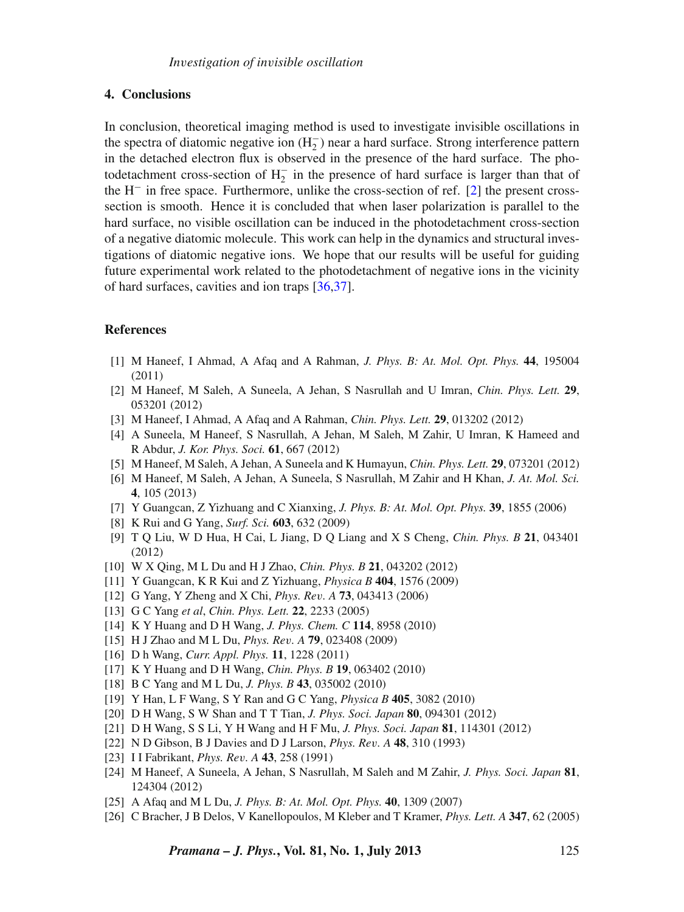#### **4. Conclusions**

In conclusion, theoretical imaging method is used to investigate invisible oscillations in the spectra of diatomic negative ion  $(H_2^-)$  near a hard surface. Strong interference pattern in the detached electron flux is observed in the presence of the hard surface. The photodetachment cross-section of  $H_2^-$  in the presence of hard surface is larger than that of the H<sup>−</sup> in free space. Furthermore, unlike the cross-section of ref. [\[2\]](#page-8-10) the present crosssection is smooth. Hence it is concluded that when laser polarization is parallel to the hard surface, no visible oscillation can be induced in the photodetachment cross-section of a negative diatomic molecule. This work can help in the dynamics and structural investigations of diatomic negative ions. We hope that our results will be useful for guiding future experimental work related to the photodetachment of negative ions in the vicinity of hard surfaces, cavities and ion traps [\[36](#page-9-6)[,37\]](#page-9-7).

### **References**

- <span id="page-8-0"></span>[1] M Haneef, I Ahmad, A Afaq and A Rahman, *J. Phys. B: At. Mol. Opt. Phys.* **44**, 195004 (2011)
- <span id="page-8-10"></span>[2] M Haneef, M Saleh, A Suneela, A Jehan, S Nasrullah and U Imran, *Chin. Phys. Lett.* **29**, 053201 (2012)
- <span id="page-8-9"></span>[3] M Haneef, I Ahmad, A Afaq and A Rahman, *Chin. Phys. Lett.* **29**, 013202 (2012)
- [4] A Suneela, M Haneef, S Nasrullah, A Jehan, M Saleh, M Zahir, U Imran, K Hameed and R Abdur, *J. Kor. Phys. Soci.* **61**, 667 (2012)
- <span id="page-8-2"></span>[5] M Haneef, M Saleh, A Jehan, A Suneela and K Humayun, *Chin. Phys. Lett.* **29**, 073201 (2012)
- [6] M Haneef, M Saleh, A Jehan, A Suneela, S Nasrullah, M Zahir and H Khan, *J. At. Mol. Sci.* **4**, 105 (2013)
- [7] Y Guangcan, Z Yizhuang and C Xianxing, *J. Phys. B: At. Mol. Opt. Phys.* **39**, 1855 (2006)
- <span id="page-8-1"></span>[8] K Rui and G Yang, *Surf. Sci.* **603**, 632 (2009)
- <span id="page-8-3"></span>[9] T Q Liu, W D Hua, H Cai, L Jiang, D Q Liang and X S Cheng, *Chin. Phys. B* **21**, 043401 (2012)
- [10] W X Qing, M L Du and H J Zhao, *Chin. Phys. B* **21**, 043202 (2012)
- [11] Y Guangcan, K R Kui and Z Yizhuang, *Physica B* **404**, 1576 (2009)
- [12] G Yang, Y Zheng and X Chi, *Phys. Re*v*. A* **73**, 043413 (2006)
- [13] G C Yang *et al*, *Chin. Phys. Lett.* **22**, 2233 (2005)
- [14] K Y Huang and D H Wang, *J. Phys. Chem. C* **114**, 8958 (2010)
- [15] H J Zhao and M L Du, *Phys. Re*v*. A* **79**, 023408 (2009)
- [16] D h Wang, *Curr. Appl. Phys.* **11**, 1228 (2011)
- [17] K Y Huang and D H Wang, *Chin. Phys. B* **19**, 063402 (2010)
- [18] B C Yang and M L Du, *J. Phys. B* **43**, 035002 (2010)
- [19] Y Han, L F Wang, S Y Ran and G C Yang, *Physica B* **405**, 3082 (2010)
- [20] D H Wang, S W Shan and T T Tian, *J. Phys. Soci. Japan* **80**, 094301 (2012)
- <span id="page-8-4"></span>[21] D H Wang, S S Li, Y H Wang and H F Mu, *J. Phys. Soci. Japan* **81**, 114301 (2012)
- <span id="page-8-5"></span>[22] N D Gibson, B J Davies and D J Larson, *Phys. Re*v*. A* **48**, 310 (1993)
- <span id="page-8-6"></span>[23] I I Fabrikant, *Phys. Re*v*. A* **43**, 258 (1991)
- <span id="page-8-7"></span>[24] M Haneef, A Suneela, A Jehan, S Nasrullah, M Saleh and M Zahir, *J. Phys. Soci. Japan* **81**, 124304 (2012)
- <span id="page-8-8"></span>[25] A Afaq and M L Du, *J. Phys. B: At. Mol. Opt. Phys.* **40**, 1309 (2007)
- <span id="page-8-11"></span>[26] C Bracher, J B Delos, V Kanellopoulos, M Kleber and T Kramer, *Phys. Lett. A* **347**, 62 (2005)